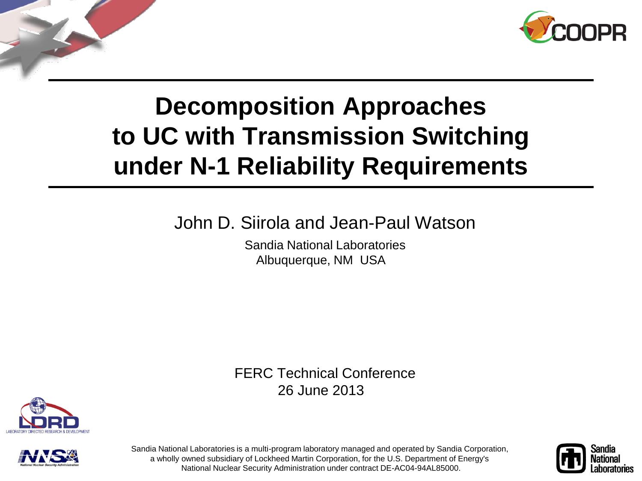

# **Decomposition Approaches to UC with Transmission Switching under N-1 Reliability Requirements**

#### John D. Siirola and Jean-Paul Watson

Sandia National Laboratories Albuquerque, NM USA

FERC Technical Conference 26 June 2013





Sandia National Laboratories is a multi-program laboratory managed and operated by Sandia Corporation, a wholly owned subsidiary of Lockheed Martin Corporation, for the U.S. Department of Energy's National Nuclear Security Administration under contract DE-AC04-94AL85000.

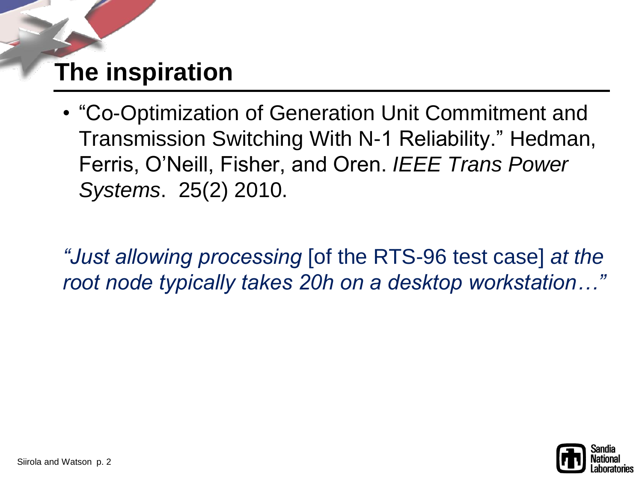#### **The inspiration**

• "Co-Optimization of Generation Unit Commitment and Transmission Switching With N-1 Reliability." Hedman, Ferris, O'Neill, Fisher, and Oren. *IEEE Trans Power Systems*. 25(2) 2010.

*"Just allowing processing* [of the RTS-96 test case] *at the root node typically takes 20h on a desktop workstation…"*

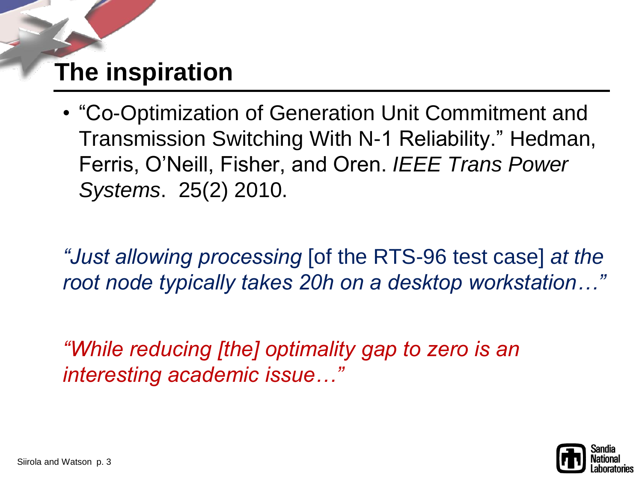#### **The inspiration**

• "Co-Optimization of Generation Unit Commitment and Transmission Switching With N-1 Reliability." Hedman, Ferris, O'Neill, Fisher, and Oren. *IEEE Trans Power Systems*. 25(2) 2010.

*"Just allowing processing* [of the RTS-96 test case] *at the root node typically takes 20h on a desktop workstation…"*

*"While reducing [the] optimality gap to zero is an interesting academic issue…"*

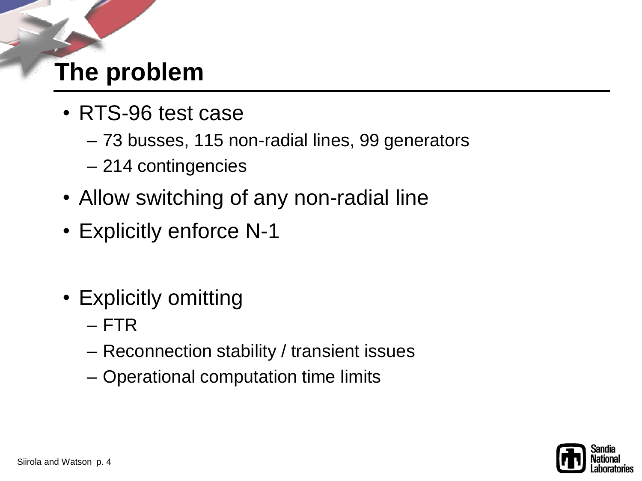#### **The problem**

- RTS-96 test case
	- 73 busses, 115 non-radial lines, 99 generators
	- 214 contingencies
- Allow switching of any non-radial line
- Explicitly enforce N-1
- Explicitly omitting
	- FTR
	- Reconnection stability / transient issues
	- Operational computation time limits

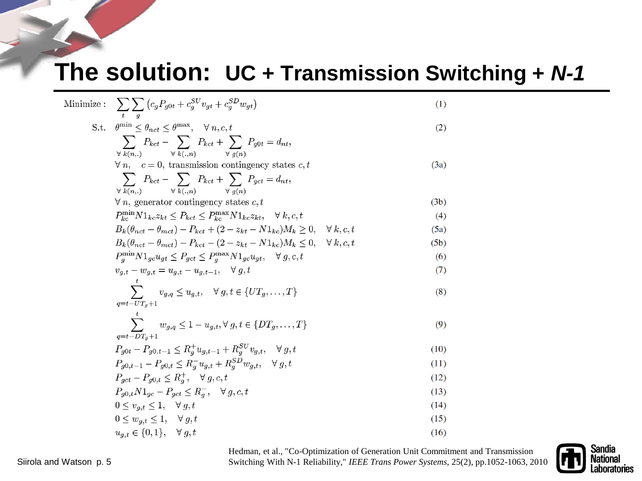#### **The solution: UC + Transmission Switching +** *N-1*

| Minimize : $\sum \sum (c_g P_{g0t} + c_g^{SU} v_{gt} + c_g^{SD} w_{gt})$                                             | (1)  |
|----------------------------------------------------------------------------------------------------------------------|------|
| S.t. $\theta^{\min} \leq \theta_{nct} \leq \theta^{\max}, \quad \forall n, c, t$                                     | (2)  |
| $\sum P_{kct} - \sum P_{kct} + \sum P_{g0t} = d_{nt},$<br>$\forall k(n,.) \qquad \forall k(.,n) \qquad \forall a(n)$ |      |
| $\forall n, \quad c = 0$ , transmission contingency states c, t                                                      | (3a) |
| $\sum P_{kct} - \sum P_{kct} + \sum P_{gct} = d_{nt},$<br>$\forall k(n.) \qquad \forall k(., n)$<br>$\forall$ a(n)   |      |
| $\forall n$ , generator contingency states c, t                                                                      | (3b) |
| $P_{kc}^{\min} N1_{kc} z_{kt} \leq P_{kct} \leq P_{kc}^{\max} N1_{kc} z_{kt}, \quad \forall k, c, t$                 | (4)  |
| $B_k(\theta_{net} - \theta_{met}) - P_{kct} + (2 - z_{kt} - N1_{kc})M_k > 0, \quad \forall k, c, t$                  | (5a) |
| $B_k(\theta_{net} - \theta_{met}) - P_{kct} - (2 - z_{kt} - N1_{kc})M_k \leq 0, \quad \forall k, c, t$               | (5b) |
| $P_q^{\min} N1_{gc} u_{gt} \leq P_{gct} \leq P_q^{\max} N1_{gc} u_{gt}, \quad \forall g, c, t$                       | (6)  |
| $v_{g,t} - w_{g,t} = u_{g,t} - u_{g,t-1}, \quad \forall g, t$                                                        | (7)  |
| $\sum \qquad v_{g,q} \leq u_{g,t}, \quad \forall \, g,t \in \{UT_g,\ldots,T\}$<br>$q = t - U T_a + 1$                | (8)  |
| $\sum w_{g,q} \leq 1 - u_{g,t}, \forall g,t \in \{DT_g,\ldots,T\}$<br>$q = t - DT_a + 1$                             | (9)  |
| $P_{g0t} - P_{g0,t-1} \leq R_g^+ u_{g,t-1} + R_g^{SU} v_{g,t}, \quad \forall g, t$                                   | (10) |
| $P_{q0,t-1} - P_{q0,t} \leq R_a^{-} u_{q,t} + R_a^{SD} w_{q,t}, \quad \forall g,t$                                   | (11) |
| $P_{qct} - P_{q0,t} \le R_q^+, \quad \forall g, c, t$                                                                | (12) |
| $P_{g0,t}N1_{gc} - P_{gct} \leq R_{g}^{-}, \quad \forall g, c, t$                                                    | (13) |
| $0 \leq v_{a,t} \leq 1, \quad \forall g,t$                                                                           | (14) |
| $0 \leq w_{a,t} \leq 1, \quad \forall g,t$                                                                           | (15) |
| $u_{q,t} \in \{0,1\}, \quad \forall g,t$                                                                             | (16) |

Hedman, et al., "Co-Optimization of Generation Unit Commitment and Transmission Switching With N-1 Reliability," *IEEE Trans Power Systems*, 25(2), pp.1052-1063, 2010

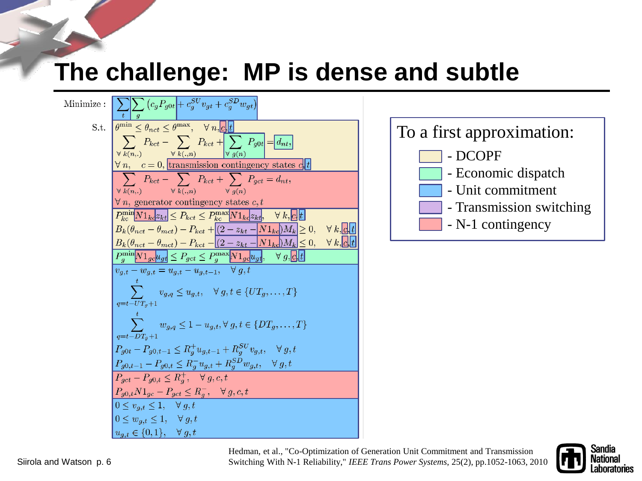#### **The challenge: MP is dense and subtle**

Minimize: 
$$
\frac{\sum_{i} \sum_{g} (c_{g}P_{g0t} + c_{g}^{SU}v_{gt} + c_{g}^{SD}w_{gt})}{\theta_{min} \leq \theta_{net} \leq \theta_{max}, \quad \forall n, \boxed{e|t}}
$$
\n
$$
S.t. \frac{\theta_{min} \leq \theta_{net} \leq \theta_{max}}{\sqrt{k(n,.)}} \frac{\sqrt{n, c}}{kct + \sqrt{\sqrt{k(n)}} P_{g0t}} = d_{nt},
$$
\n
$$
\frac{\sqrt{n, c}}{k(n,.)} \frac{\sqrt{k(n,.)}}{\sqrt{k(n,.)}} \frac{\sqrt{k(t, n)}}{\sqrt{k(t, n)}} = \frac{\sqrt{k(t, n)}}{k(t, n)} \frac{\sqrt{k(t, n)}}{\sqrt{k(t, n)}} = d_{nt},
$$
\n
$$
\frac{\sqrt{k(n,.)}}{\sqrt{k(n,.)}} \frac{\sqrt{k(t, n)}}{\sqrt{k(n)}} = \frac{\sqrt{k(t, n)}}{k(t, n)} \frac{\sqrt{k(t, n)}}{\sqrt{k(t, n)}} = d_{nt},
$$
\n
$$
\frac{\sqrt{k(n,.)}}{\sqrt{k(n,.)}} \frac{\sqrt{k(t, n)}}{\sqrt{k(t, n)}} = \frac{\sqrt{k(t, n)}}{k(t, n)} \frac{\sqrt{k(t, n)}}{\sqrt{k(t, n)}} = d_{nt},
$$
\n
$$
B_{k}(\theta_{net} - \theta_{met}) - P_{kct} + (2 - z_{kt} - N \mathbf{1}_{kc}) M_{k} \geq 0, \quad \forall k, \boxed{e|t}
$$
\n
$$
B_{k}(\theta_{net} - \theta_{met}) - P_{kct} - (2 - z_{kt} - N \mathbf{1}_{kc}) M_{k} \geq 0, \quad \forall k, \boxed{e|t}
$$
\n
$$
B_{min} \boxed{N \mathbf{1}_{g} \mathbf{1}_{g} \mathbf{1}_{g} \mathbf{1}_{g} \mathbf{1}_{g} \mathbf{1}_{g} \mathbf{1}_{g} \mathbf{1}_{g} \mathbf{1}_{g} \mathbf{1}_{g} \mathbf{1}_{g} \mathbf{1}_{g} \mathbf{1}_{g} \mathbf{1}_{g} \mathbf{1}_{g} \mathbf{1}_{g} \mathbf{1}_{g} \mathbf{1}_{g} \mathbf{1}_{g} \mathbf{1}_{g} \mathbf{1}_{g} \mathbf{1}_{g} \mathbf{1}_{g} \mathbf{1}_{g} \mathbf
$$



Hedman, et al., "Co-Optimization of Generation Unit Commitment and Transmission Switching With N-1 Reliability," *IEEE Trans Power Systems*, 25(2), pp.1052-1063, 2010

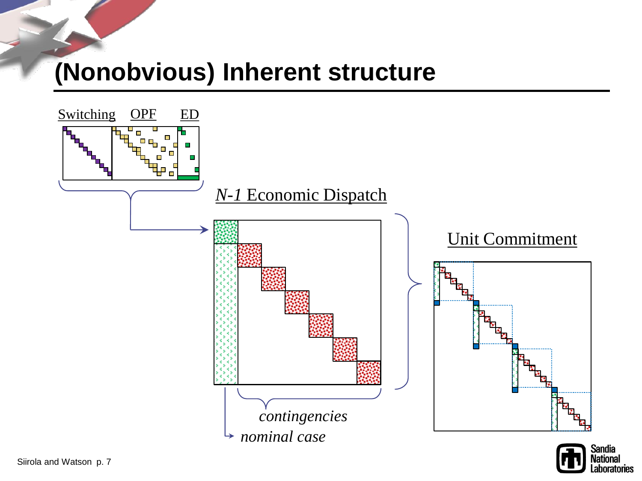#### **(Nonobvious) Inherent structure**



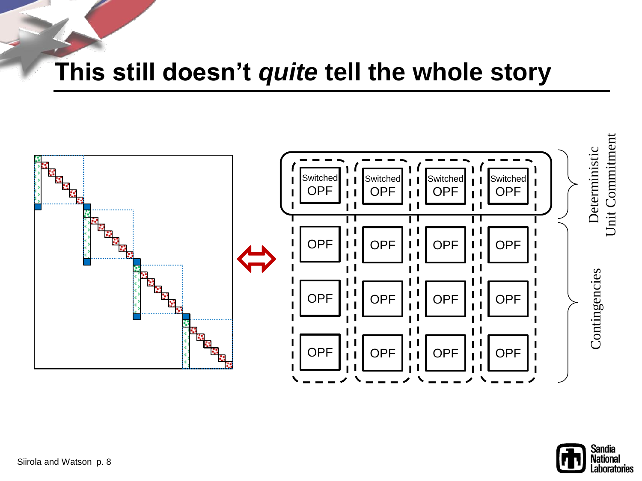#### **This still doesn't** *quite* **tell the whole story**



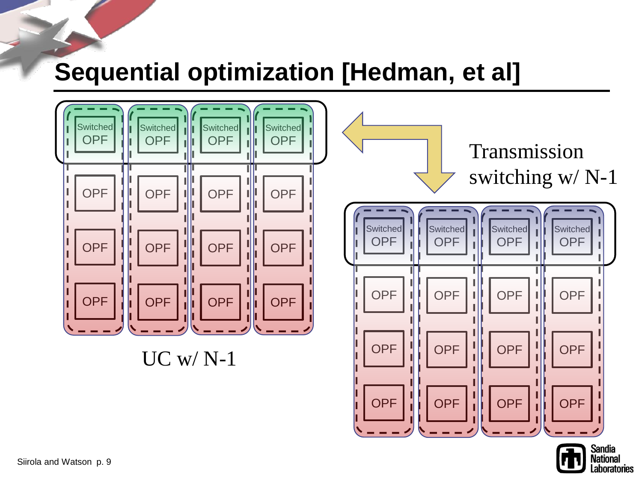#### **Sequential optimization [Hedman, et al]**



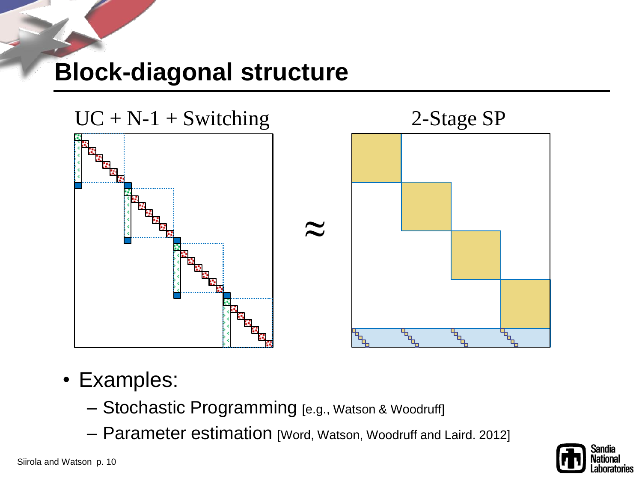#### **Block-diagonal structure**



- Examples:
	- Stochastic Programming [e.g., Watson & Woodruff]
	- Parameter estimation [Word, Watson, Woodruff and Laird. 2012]

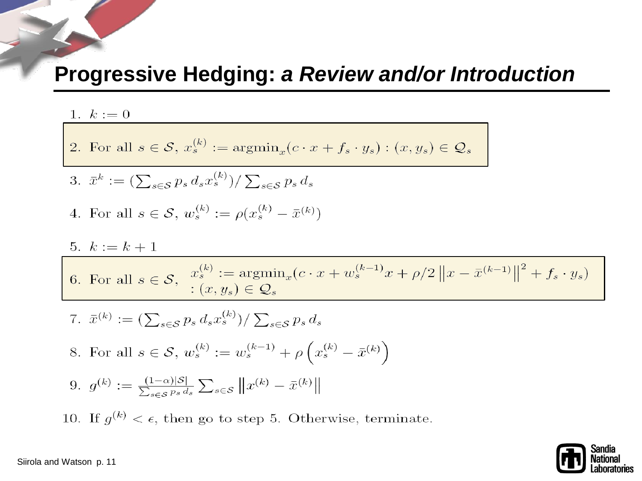#### **Progressive Hedging:** *a Review and/or Introduction*

#### 1.  $k := 0$

2. For all 
$$
s \in \mathcal{S}
$$
,  $x_s^{(k)} := \operatorname{argmin}_x (c \cdot x + f_s \cdot y_s) : (x, y_s) \in \mathcal{Q}_s$ 

3. 
$$
\bar{x}^k := \left(\sum_{s \in \mathcal{S}} p_s \, d_s x_s^{(k)}\right) / \sum_{s \in \mathcal{S}} p_s \, d_s
$$

4. For all 
$$
s \in \mathcal{S}
$$
,  $w_s^{(k)} := \rho(x_s^{(k)} - \bar{x}^{(k)})$ 

$$
5. \ \ k:=k+1
$$

6. For all 
$$
s \in \mathcal{S}
$$
,  $x_s^{(k)} := \operatorname{argmin}_x (c \cdot x + w_s^{(k-1)} x + \rho/2 ||x - \bar{x}^{(k-1)}||^2 + f_s \cdot y_s)$   
  $\therefore (x, y_s) \in \mathcal{Q}_s$ 

7. 
$$
\bar{x}^{(k)} := (\sum_{s \in S} p_s d_s x_s^{(k)}) / \sum_{s \in S} p_s d_s
$$
  
\n8. For all  $s \in S$ ,  $w_s^{(k)} := w_s^{(k-1)} + \rho \left( x_s^{(k)} - \bar{x}^{(k)} \right)$   
\n9.  $g^{(k)} := \frac{(1-\alpha)|S|}{\sum_{s \in S} p_s d_s} \sum_{s \in S} ||x^{(k)} - \bar{x}^{(k)}||$ 

10. If  $g^{(k)} < \epsilon$ , then go to step 5. Otherwise, terminate.

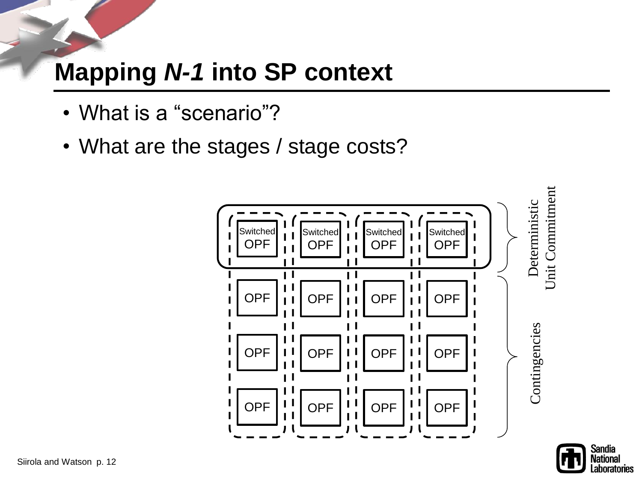- What is a "scenario"?
- What are the stages / stage costs?

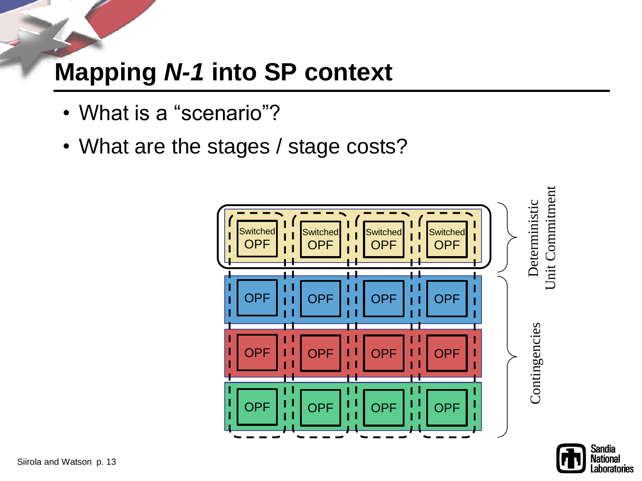- What is a "scenario"?
- What are the stages / stage costs?



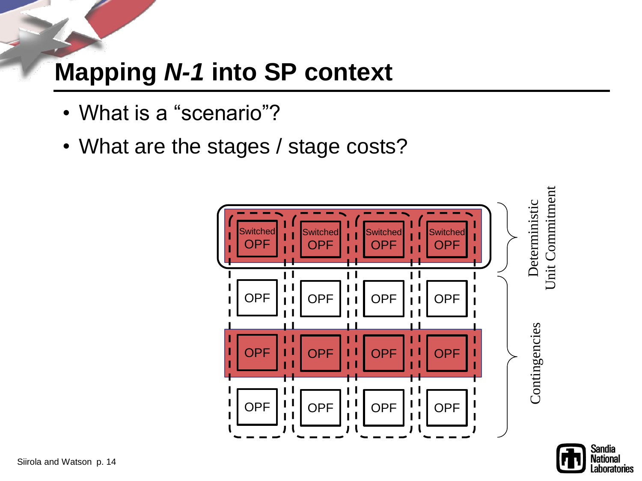- What is a "scenario"?
- What are the stages / stage costs?



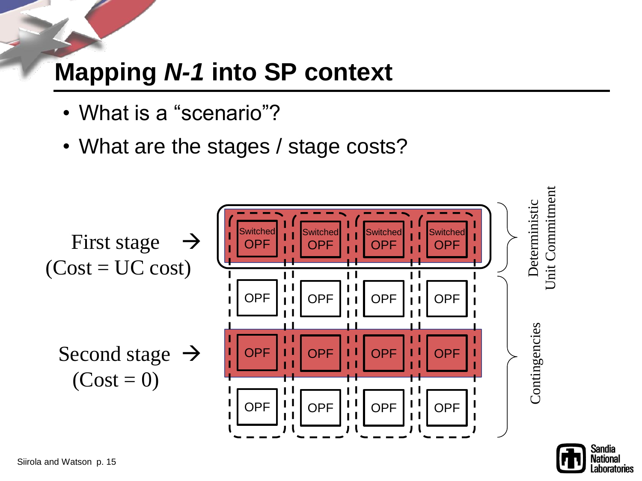- What is a "scenario"?
- What are the stages / stage costs?



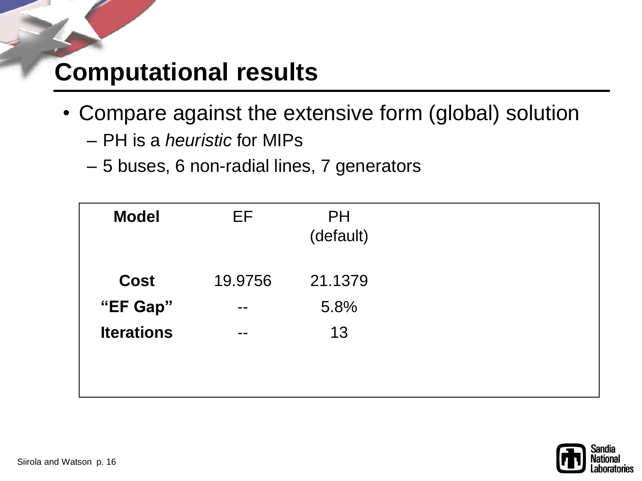#### **Computational results**

- Compare against the extensive form (global) solution
	- PH is a *heuristic* for MIPs
	- 5 buses, 6 non-radial lines, 7 generators

| <b>Model</b>      | EF.     | <b>PH</b><br>(default) |  |
|-------------------|---------|------------------------|--|
| <b>Cost</b>       | 19.9756 | 21.1379                |  |
| "EF Gap"          | --      | 5.8%                   |  |
| <b>Iterations</b> | --      | 13                     |  |

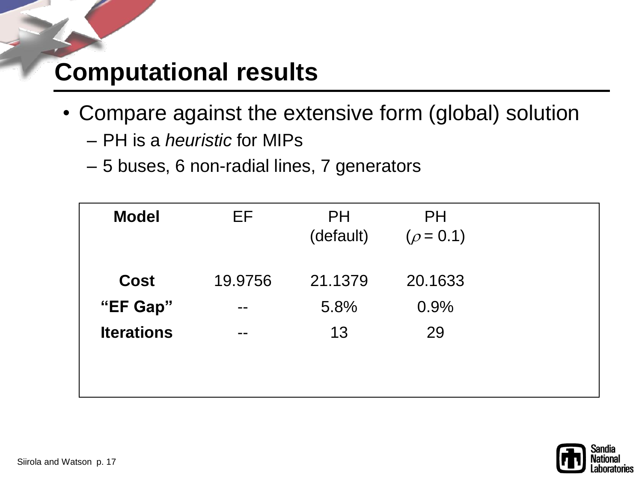#### **Computational results**

- Compare against the extensive form (global) solution
	- PH is a *heuristic* for MIPs
	- 5 buses, 6 non-radial lines, 7 generators

| <b>Model</b>      | EF      | <b>PH</b><br>(default) | <b>PH</b><br>$(\rho = 0.1)$ |  |
|-------------------|---------|------------------------|-----------------------------|--|
| <b>Cost</b>       | 19.9756 | 21.1379                | 20.1633                     |  |
| "EF Gap"          | --      | 5.8%                   | 0.9%                        |  |
| <b>Iterations</b> | --      | 13                     | 29                          |  |
|                   |         |                        |                             |  |
|                   |         |                        |                             |  |

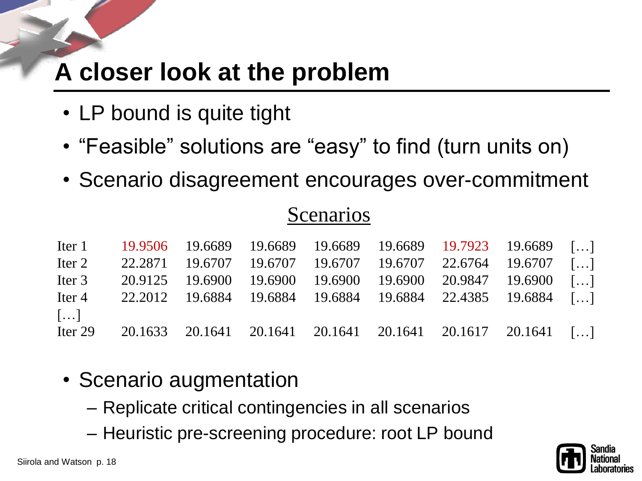# **A closer look at the problem**

- LP bound is quite tight
- "Feasible" solutions are "easy" to find (turn units on)
- Scenario disagreement encourages over-commitment

#### **Scenarios**

|                       |  |  |  | Iter 1 19.9506 19.6689 19.6689 19.6689 19.6689 19.7923 19.6689 []  |  |
|-----------------------|--|--|--|--------------------------------------------------------------------|--|
|                       |  |  |  | Iter 2 22.2871 19.6707 19.6707 19.6707 19.6707 22.6764 19.6707 []  |  |
|                       |  |  |  | Iter 3 20.9125 19.6900 19.6900 19.6900 19.6900 20.9847 19.6900 []  |  |
|                       |  |  |  | Iter 4 22.2012 19.6884 19.6884 19.6884 19.6884 22.4385 19.6884 []  |  |
| $\lceil \dots \rceil$ |  |  |  |                                                                    |  |
|                       |  |  |  | Iter 29 20.1633 20.1641 20.1641 20.1641 20.1641 20.1617 20.1641 [] |  |

- Scenario augmentation
	- Replicate critical contingencies in all scenarios
	- Heuristic pre-screening procedure: root LP bound

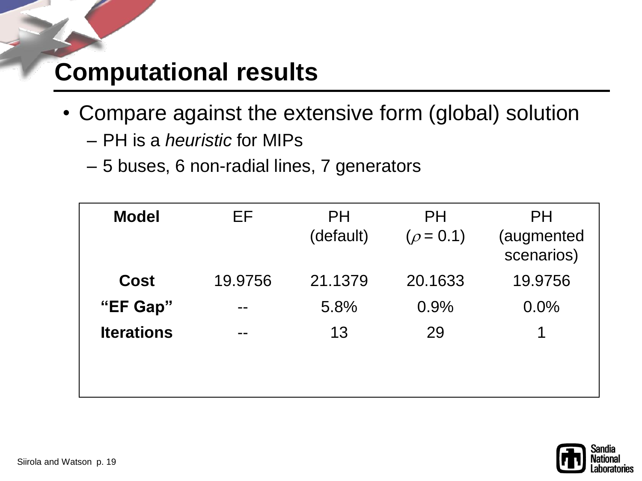#### **Computational results**

- Compare against the extensive form (global) solution
	- PH is a *heuristic* for MIPs
	- 5 buses, 6 non-radial lines, 7 generators

| <b>Model</b>      | EF      | <b>PH</b><br>(default) | <b>PH</b><br>$(\rho = 0.1)$ | <b>PH</b><br>(augmented<br>scenarios) |
|-------------------|---------|------------------------|-----------------------------|---------------------------------------|
| <b>Cost</b>       | 19.9756 | 21.1379                | 20.1633                     | 19.9756                               |
| "EF Gap"          | --      | 5.8%                   | 0.9%                        | 0.0%                                  |
| <b>Iterations</b> | --      | 13                     | 29                          |                                       |
|                   |         |                        |                             |                                       |
|                   |         |                        |                             |                                       |

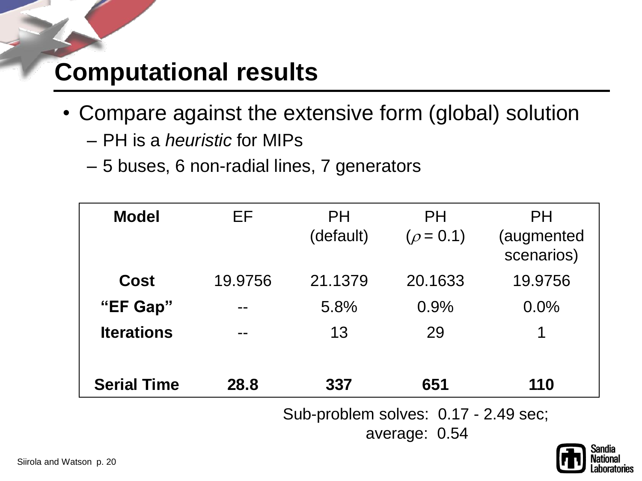#### **Computational results**

- Compare against the extensive form (global) solution
	- PH is a *heuristic* for MIPs
	- 5 buses, 6 non-radial lines, 7 generators

| <b>Model</b>       | EF      | <b>PH</b><br>(default) | PH<br>$(\rho = 0.1)$ | PH<br>(augmented<br>scenarios) |
|--------------------|---------|------------------------|----------------------|--------------------------------|
| <b>Cost</b>        | 19.9756 | 21.1379                | 20.1633              | 19.9756                        |
| "EF Gap"           | --      | 5.8%                   | 0.9%                 | 0.0%                           |
| <b>Iterations</b>  |         | 13                     | 29                   | 1                              |
| <b>Serial Time</b> | 28.8    | 337                    | 651                  | 110                            |

Sub-problem solves: 0.17 - 2.49 sec;

average: 0.54

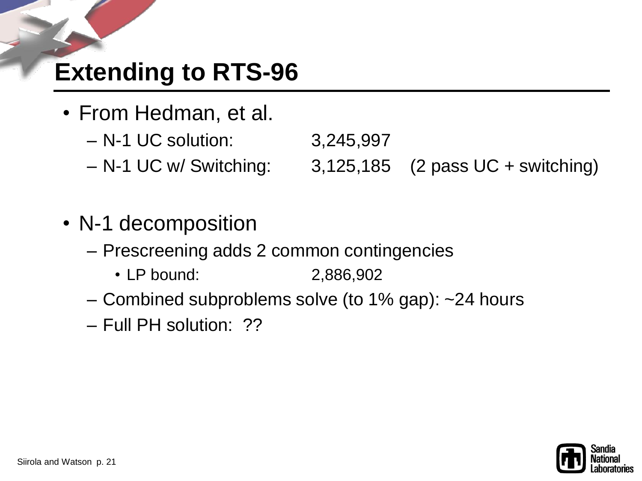### **Extending to RTS-96**

- From Hedman, et al.
	- N-1 UC solution: 3,245,997
	- N-1 UC w/ Switching: 3,125,185 (2 pass UC + switching)
- N-1 decomposition
	- Prescreening adds 2 common contingencies
		- LP bound: 2,886,902
	- Combined subproblems solve (to 1% gap): ~24 hours
	- Full PH solution: ??

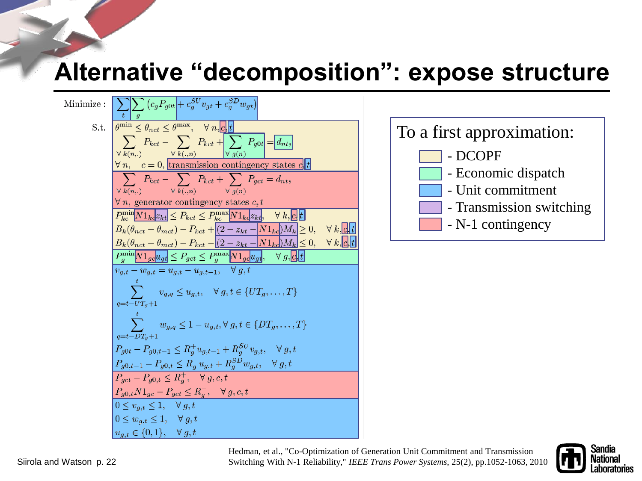#### **Alternative "decomposition": expose structure**

Minimize: 
$$
\frac{\left|\sum_{t}\sum_{g}(c_{g}P_{g0t}+c_{g}^{SU}v_{gt}+c_{g}^{SD}w_{gt})\right|}{\left|\sum_{\forall k,(n,1)}P_{kct} - \sum_{\forall k,(m,2)}P_{kct} + \sum_{\forall g(n)}P_{g0t}\right|} = [d_{nt}]
$$
\n
$$
\frac{\forall n, \quad c = 0, \frac{\text{[transmission contingency states d}t}{\text{[transmission contingency states d}t}}{\text{[{{\color{red}\gamma}}}}\right]
$$
\n
$$
\frac{\forall n, \quad c = 0, \frac{\text{[transmission contingency states d}t}{\text{[{{\color{red}\gamma}}]}}}{\left|\sum_{k,(n,1)}P_{kct} - \sum_{k,(n,2)}P_{kct} + \sum_{\forall g(n)}P_{gct} = d_{nt}},
$$
\n
$$
\frac{\forall n, \text{ generator contingency states c, t}}{\text{[{{\color{red}\gamma}}]}\left|\sum_{k,(n,2)}P_{kct} \leq P_{kct} \leq P_{kct}^{\text{max}}\overline{\text{[{{\color{red}\gamma}}]}\overline{\text{[{{\color{red}\gamma}}]}\overline{\text{[{{\color{red}\gamma}}]}}\overline{\text{[{{\color{red}\gamma}}]}\overline{\text{[{{\color{red}\gamma}}]}\overline{\text{[{{\color{red}\gamma}}]}\overline{\text{[{{\color{red}\gamma}}]}\overline{\text{[{{\color{red}\gamma}}]}\overline{\text{[{{\color{red}\gamma}}]}\overline{\text{[{{\color{red}\gamma}}]}\overline{\text{[{{\color{red}\gamma}}]}\overline{\text{[{{\color{red}\gamma}}]}\overline{\text{[{{\color{red}\gamma}}]}\overline{\text{[{{\color{red}\gamma}}]}\overline{\text{[{{\color{red}\gamma}}]}\overline{\text{[{{\color{red}\gamma}}]}\overline{\text{[{{\color{red}\gamma}}]}\overline{\text{[{{\color{red}\gamma}}]}\overline{\text{[{{\color{red}\gamma}}]}\overline{\text{[{{\color{red}\gamma}}]}\overline{\text{[{{\color{red}\gamma}}]}\overline{\text{[{{\color{red}\gamma}}]}\overline{\text{[{{\color{red}\gamma}}]}\overline{\text{[{{\color{red}\gamma}}]}\overline{\text{[{{\color{red}\gamma}}]}\overline{\text{
$$



Hedman, et al., "Co-Optimization of Generation Unit Commitment and Transmission Switching With N-1 Reliability," *IEEE Trans Power Systems*, 25(2), pp.1052-1063, 2010

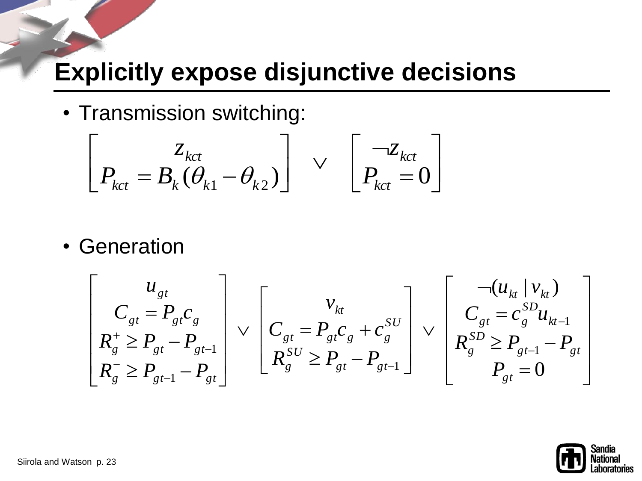#### **Explicitly expose disjunctive decisions**

• Transmission switching:

$$
\begin{bmatrix} z_{kct} \\ P_{kct} = B_k(\theta_{k1} - \theta_{k2}) \end{bmatrix} \vee \begin{bmatrix} \neg z_{kct} \\ P_{kct} = 0 \end{bmatrix}
$$

• Generation

$$
\begin{bmatrix}\nu_{gt} \\
C_{gt} = P_{gt}C_{g} \\
R_{g}^{+} \ge P_{gt} - P_{gt-1} \\
R_{g}^{-} \ge P_{gt-1} - P_{gt}\n\end{bmatrix} \vee\n\begin{bmatrix}\nv_{kt} \\
C_{gt} = P_{gt}C_{g} + C_{g}^{SU} \\
R_{g}^{SU} \ge P_{gt} - P_{gt-1} \\
R_{g}^{SU} \ge P_{gt-1} - P_{gt-1}\n\end{bmatrix} \vee\n\begin{bmatrix}\n-(u_{kt} \mid v_{kt}) \\
C_{gt} = C_{g}^{SD}u_{kt-1} \\
R_{g}^{SD} \ge P_{gt-1} - P_{gt} \\
P_{gt} = 0\n\end{bmatrix}
$$

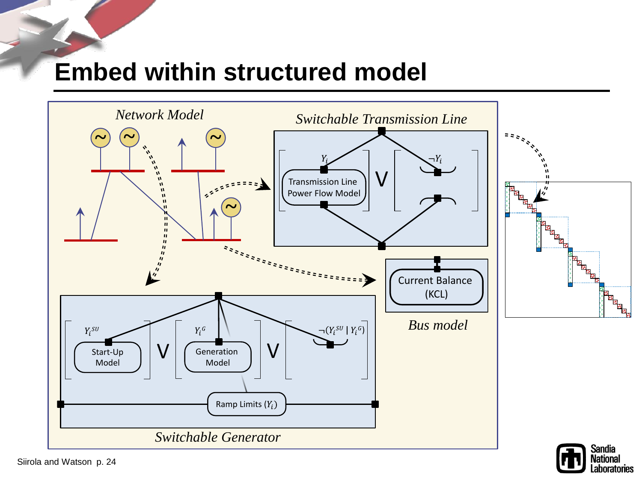#### **Embed within structured model**



Laboratories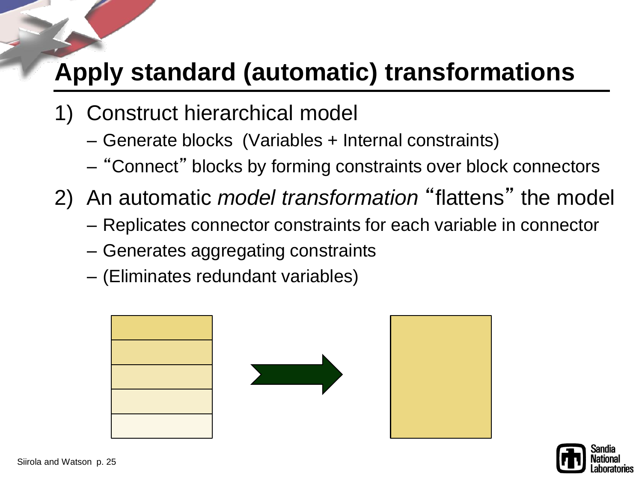### **Apply standard (automatic) transformations**

- 1) Construct hierarchical model
	- Generate blocks (Variables + Internal constraints)
	- "Connect" blocks by forming constraints over block connectors
- 2) An automatic *model transformation* "flattens" the model
	- Replicates connector constraints for each variable in connector
	- Generates aggregating constraints
	- (Eliminates redundant variables)



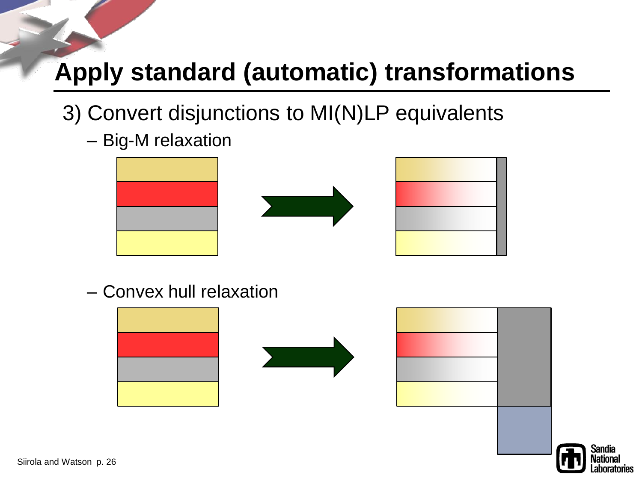## **Apply standard (automatic) transformations**

- 3) Convert disjunctions to MI(N)LP equivalents
	- Big-M relaxation



– Convex hull relaxation





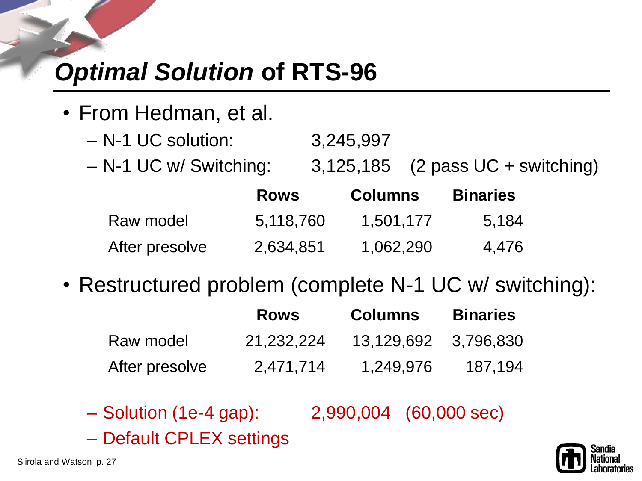# *Optimal Solution* **of RTS-96**

- From Hedman, et al.
	- N-1 UC solution: 3,245,997
	- N-1 UC w/ Switching: 3,125,185 (2 pass UC + switching)

|                | <b>Rows</b> | <b>Columns</b> | <b>Binaries</b> |
|----------------|-------------|----------------|-----------------|
| Raw model      | 5,118,760   | 1,501,177      | 5.184           |
| After presolve | 2,634,851   | 1,062,290      | 4,476           |

• Restructured problem (complete N-1 UC w/ switching):

|                | <b>Rows</b> | <b>Columns</b>       | <b>Binaries</b> |
|----------------|-------------|----------------------|-----------------|
| Raw model      | 21.232.224  | 13,129,692 3,796,830 |                 |
| After presolve | 2,471,714   | 1,249,976            | 187,194         |

- Solution (1e-4 gap): 2,990,004 (60,000 sec)
- Default CPLEX settings

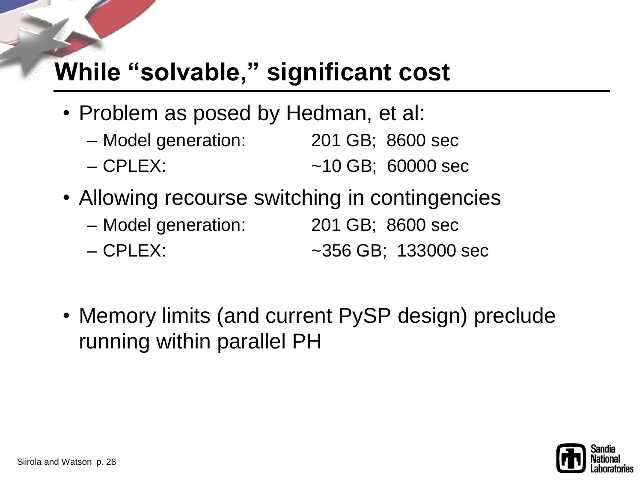### **While "solvable," significant cost**

- Problem as posed by Hedman, et al:
	- Model generation: 201 GB; 8600 sec – CPLEX: ~10 GB; 60000 sec
- Allowing recourse switching in contingencies
	- Model generation: 201 GB; 8600 sec – CPLEX: ~356 GB; 133000 sec
- Memory limits (and current PySP design) preclude running within parallel PH